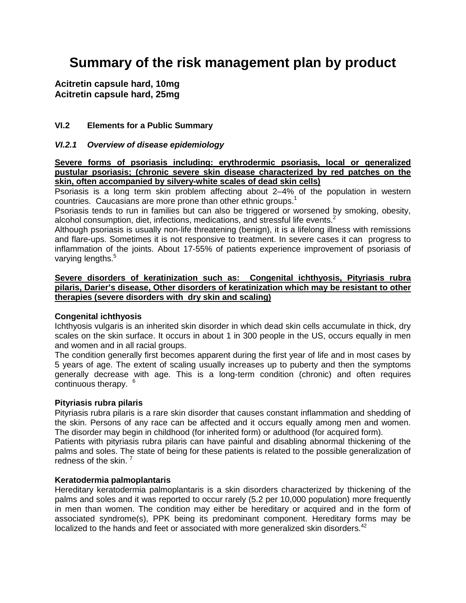# **Summary of the risk management plan by product**

**Acitretin capsule hard, 10mg Acitretin capsule hard, 25mg**

# **VI.2 Elements for a Public Summary**

## *VI.2.1 Overview of disease epidemiology*

**Severe forms of psoriasis including: erythrodermic psoriasis, local or generalized pustular psoriasis; (chronic severe skin disease characterized by red patches on the skin, often accompanied by silvery-white scales of dead skin cells)**

Psoriasis is a long term skin problem affecting about 2–4% of the population in western countries. Caucasians are more prone than other ethnic groups.<sup>1</sup>

Psoriasis tends to run in families but can also be triggered or worsened by smoking, obesity, alcohol consumption, diet, infections, medications, and stressful life events.<sup>2</sup>

Although psoriasis is usually non-life threatening (benign), it is a lifelong illness with remissions and flare-ups. Sometimes it is not responsive to treatment. In severe cases it can progress to inflammation of the joints. About 17-55% of patients experience improvement of psoriasis of varying lengths.<sup>5</sup>

### **Severe disorders of keratinization such as: Congenital ichthyosis, Pityriasis rubra pilaris, Darier's disease, Other disorders of keratinization which may be resistant to other therapies (severe disorders with dry skin and scaling)**

#### **Congenital ichthyosis**

Ichthyosis vulgaris is an inherited skin disorder in which dead skin cells accumulate in thick, dry scales on the skin surface. It occurs in about 1 in 300 people in the US, occurs equally in men and women and in all racial groups.

The condition generally first becomes apparent during the first year of life and in most cases by 5 years of age. The extent of scaling usually increases up to puberty and then the symptoms generally decrease with age. This is a long-term condition (chronic) and often requires continuous therapy. <sup>6</sup>

#### **Pityriasis rubra pilaris**

Pityriasis rubra pilaris is a rare skin disorder that causes constant inflammation and shedding of the skin. Persons of any race can be affected and it occurs equally among men and women. The disorder may begin in childhood (for inherited form) or adulthood (for acquired form).

Patients with pityriasis rubra pilaris can have painful and disabling abnormal thickening of the palms and soles. The state of being for these patients is related to the possible generalization of redness of the skin.<sup>7</sup>

#### **Keratodermia palmoplantaris**

Hereditary keratodermia palmoplantaris is a skin disorders characterized by thickening of the palms and soles and it was reported to occur rarely (5.2 per 10,000 population) more frequently in men than women. The condition may either be hereditary or acquired and in the form of associated syndrome(s), PPK being its predominant component. Hereditary forms may be localized to the hands and feet or associated with more generalized skin disorders. $42$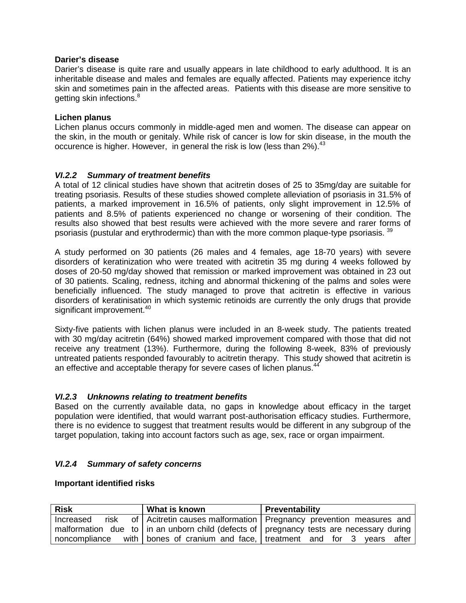## **Darier's disease**

Darier's disease is quite rare and usually appears in late childhood to early adulthood. It is an inheritable disease and males and females are equally affected. Patients may experience itchy skin and sometimes pain in the affected areas. Patients with this disease are more sensitive to getting skin infections.<sup>8</sup>

## **Lichen planus**

Lichen planus occurs commonly in middle-aged men and women. The disease can appear on the skin, in the mouth or genitaly. While risk of cancer is low for skin disease, in the mouth the occurence is higher. However, in general the risk is low (less than  $2\%$ ).  $43$ 

## *VI.2.2 Summary of treatment benefits*

A total of 12 clinical studies have shown that acitretin doses of 25 to 35mg/day are suitable for treating psoriasis. Results of these studies showed complete alleviation of psoriasis in 31.5% of patients, a marked improvement in 16.5% of patients, only slight improvement in 12.5% of patients and 8.5% of patients experienced no change or worsening of their condition. The results also showed that best results were achieved with the more severe and rarer forms of psoriasis (pustular and erythrodermic) than with the more common plaque-type psoriasis.  $3<sup>3</sup>$ 

A study performed on 30 patients (26 males and 4 females, age 18-70 years) with severe disorders of keratinization who were treated with acitretin 35 mg during 4 weeks followed by doses of 20-50 mg/day showed that remission or marked improvement was obtained in 23 out of 30 patients. Scaling, redness, itching and abnormal thickening of the palms and soles were beneficially influenced. The study managed to prove that acitretin is effective in various disorders of keratinisation in which systemic retinoids are currently the only drugs that provide significant improvement.<sup>40</sup>

Sixty-five patients with lichen planus were included in an 8-week study. The patients treated with 30 mg/day acitretin (64%) showed marked improvement compared with those that did not receive any treatment (13%). Furthermore, during the following 8-week, 83% of previously untreated patients responded favourably to acitretin therapy. This study showed that acitretin is an effective and acceptable therapy for severe cases of lichen planus.<sup>44</sup>

## *VI.2.3 Unknowns relating to treatment benefits*

Based on the currently available data, no gaps in knowledge about efficacy in the target population were identified, that would warrant post-authorisation efficacy studies. Furthermore, there is no evidence to suggest that treatment results would be different in any subgroup of the target population, taking into account factors such as age, sex, race or organ impairment.

## *VI.2.4 Summary of safety concerns*

#### **Important identified risks**

| <b>Risk</b>   | What is known | Preventability                                                                              |  |
|---------------|---------------|---------------------------------------------------------------------------------------------|--|
| Increased     |               | risk of Acitretin causes malformation   Pregnancy prevention measures and                   |  |
|               |               | malformation due to   in an unborn child (defects of   pregnancy tests are necessary during |  |
| noncompliance |               | with bones of cranium and face, treatment and for 3 years after                             |  |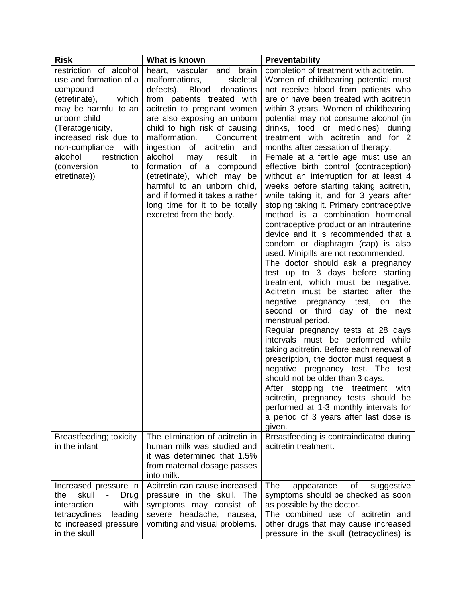| <b>Risk</b>                                                                                                                                                                                                                                                          | What is known                                                                                                                                                                                                                                                                                                                                                                                                                                                                                                     | <b>Preventability</b>                                                                                                                                                                                                                                                                                                                                                                                                                                                                                                                                                                                                                                                                                                                                                                                                                                                                                                                                                                                                                                                                                                                                                                                                                                                                                                                                                                                                                                                                                                  |
|----------------------------------------------------------------------------------------------------------------------------------------------------------------------------------------------------------------------------------------------------------------------|-------------------------------------------------------------------------------------------------------------------------------------------------------------------------------------------------------------------------------------------------------------------------------------------------------------------------------------------------------------------------------------------------------------------------------------------------------------------------------------------------------------------|------------------------------------------------------------------------------------------------------------------------------------------------------------------------------------------------------------------------------------------------------------------------------------------------------------------------------------------------------------------------------------------------------------------------------------------------------------------------------------------------------------------------------------------------------------------------------------------------------------------------------------------------------------------------------------------------------------------------------------------------------------------------------------------------------------------------------------------------------------------------------------------------------------------------------------------------------------------------------------------------------------------------------------------------------------------------------------------------------------------------------------------------------------------------------------------------------------------------------------------------------------------------------------------------------------------------------------------------------------------------------------------------------------------------------------------------------------------------------------------------------------------------|
| restriction of alcohol<br>use and formation of a<br>compound<br>(etretinate),<br>which<br>may be harmful to an<br>unborn child<br>(Teratogenicity,<br>increased risk due to<br>non-compliance<br>with<br>alcohol<br>restriction<br>(conversion<br>to<br>etretinate)) | heart, vascular<br>brain<br>and<br>malformations,<br>skeletal<br>defects). Blood<br>donations<br>from patients treated with<br>acitretin to pregnant women<br>are also exposing an unborn<br>child to high risk of causing<br>malformation.<br>Concurrent<br>ingestion of acitretin and<br>alcohol<br>result<br>may<br>in<br>formation of a compound<br>(etretinate), which may be<br>harmful to an unborn child,<br>and if formed it takes a rather<br>long time for it to be totally<br>excreted from the body. | completion of treatment with acitretin.<br>Women of childbearing potential must<br>not receive blood from patients who<br>are or have been treated with acitretin<br>within 3 years. Women of childbearing<br>potential may not consume alcohol (in<br>drinks, food or medicines) during<br>treatment with acitretin and for 2<br>months after cessation of therapy.<br>Female at a fertile age must use an<br>effective birth control (contraception)<br>without an interruption for at least 4<br>weeks before starting taking acitretin,<br>while taking it, and for 3 years after<br>stoping taking it. Primary contraceptive<br>method is a combination hormonal<br>contraceptive product or an intrauterine<br>device and it is recommended that a<br>condom or diaphragm (cap) is also<br>used. Minipills are not recommended.<br>The doctor should ask a pregnancy<br>test up to 3 days before starting<br>treatment, which must be negative.<br>Acitretin must be started after the<br>negative pregnancy test,<br>the<br>on<br>second or third day of the<br>next<br>menstrual period.<br>Regular pregnancy tests at 28 days<br>intervals must be performed while<br>taking acitretin. Before each renewal of<br>prescription, the doctor must request a<br>negative pregnancy test. The test<br>should not be older than 3 days.<br>After stopping the treatment with<br>acitretin, pregnancy tests should be<br>performed at 1-3 monthly intervals for<br>a period of 3 years after last dose is<br>given. |
| Breastfeeding; toxicity<br>in the infant                                                                                                                                                                                                                             | The elimination of acitretin in<br>human milk was studied and<br>it was determined that 1.5%<br>from maternal dosage passes<br>into milk.                                                                                                                                                                                                                                                                                                                                                                         | Breastfeeding is contraindicated during<br>acitretin treatment.                                                                                                                                                                                                                                                                                                                                                                                                                                                                                                                                                                                                                                                                                                                                                                                                                                                                                                                                                                                                                                                                                                                                                                                                                                                                                                                                                                                                                                                        |
| Increased pressure in<br>skull<br>the<br>$\overline{\phantom{a}}$<br>Drug<br>interaction<br>with<br>tetracyclines<br>leading<br>to increased pressure<br>in the skull                                                                                                | Acitretin can cause increased<br>pressure in the skull. The<br>symptoms may consist of:<br>headache, nausea,<br>severe<br>vomiting and visual problems.                                                                                                                                                                                                                                                                                                                                                           | The<br>suggestive<br>appearance<br>0f<br>symptoms should be checked as soon<br>as possible by the doctor.<br>The combined use of acitretin and<br>other drugs that may cause increased<br>pressure in the skull (tetracyclines) is                                                                                                                                                                                                                                                                                                                                                                                                                                                                                                                                                                                                                                                                                                                                                                                                                                                                                                                                                                                                                                                                                                                                                                                                                                                                                     |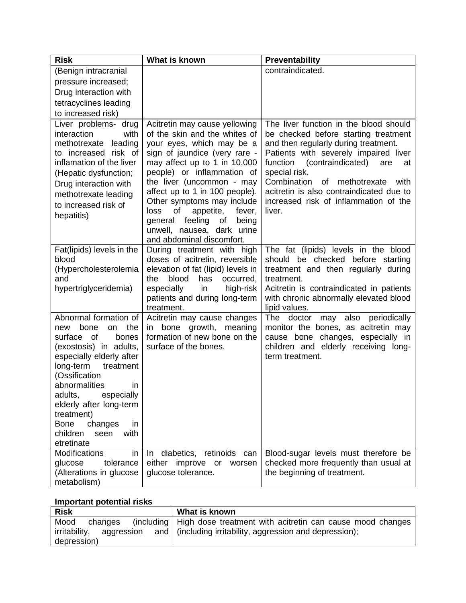| <b>Risk</b>                                                                                                                                                                                                                                                                                                                                | What is known                                                                                                                                                                                                                                                                                                                                                                                                                | Preventability                                                                                                                                                                                                                                                                                                                                                          |
|--------------------------------------------------------------------------------------------------------------------------------------------------------------------------------------------------------------------------------------------------------------------------------------------------------------------------------------------|------------------------------------------------------------------------------------------------------------------------------------------------------------------------------------------------------------------------------------------------------------------------------------------------------------------------------------------------------------------------------------------------------------------------------|-------------------------------------------------------------------------------------------------------------------------------------------------------------------------------------------------------------------------------------------------------------------------------------------------------------------------------------------------------------------------|
| (Benign intracranial                                                                                                                                                                                                                                                                                                                       |                                                                                                                                                                                                                                                                                                                                                                                                                              | contraindicated.                                                                                                                                                                                                                                                                                                                                                        |
| pressure increased;                                                                                                                                                                                                                                                                                                                        |                                                                                                                                                                                                                                                                                                                                                                                                                              |                                                                                                                                                                                                                                                                                                                                                                         |
| Drug interaction with                                                                                                                                                                                                                                                                                                                      |                                                                                                                                                                                                                                                                                                                                                                                                                              |                                                                                                                                                                                                                                                                                                                                                                         |
| tetracyclines leading                                                                                                                                                                                                                                                                                                                      |                                                                                                                                                                                                                                                                                                                                                                                                                              |                                                                                                                                                                                                                                                                                                                                                                         |
| to increased risk)                                                                                                                                                                                                                                                                                                                         |                                                                                                                                                                                                                                                                                                                                                                                                                              |                                                                                                                                                                                                                                                                                                                                                                         |
| Liver problems- drug<br>with<br>interaction<br>methotrexate leading<br>to increased risk of<br>inflamation of the liver<br>(Hepatic dysfunction;<br>Drug interaction with<br>methotrexate leading<br>to increased risk of<br>hepatitis)                                                                                                    | Acitretin may cause yellowing<br>of the skin and the whites of<br>your eyes, which may be a<br>sign of jaundice (very rare -<br>may affect up to 1 in 10,000<br>people) or inflammation of<br>the liver (uncommon - may<br>affect up to 1 in 100 people).<br>Other symptoms may include<br>appetite,<br>fever,<br>loss<br>of<br>feeling<br>of<br>general<br>being<br>unwell, nausea, dark urine<br>and abdominal discomfort. | The liver function in the blood should<br>be checked before starting treatment<br>and then regularly during treatment.<br>Patients with severely impaired liver<br>function (contraindicated)<br>are<br>at<br>special risk.<br>Combination<br>of<br>methotrexate<br>with<br>acitretin is also contraindicated due to<br>increased risk of inflammation of the<br>liver. |
| Fat(lipids) levels in the<br>blood<br>(Hypercholesterolemia<br>and<br>hypertriglyceridemia)                                                                                                                                                                                                                                                | During treatment with high<br>doses of acitretin, reversible<br>elevation of fat (lipid) levels in<br>blood<br>has<br>occurred,<br>the<br>especially<br>high-risk<br>in<br>patients and during long-term<br>treatment.                                                                                                                                                                                                       | The fat (lipids) levels in the blood<br>should be checked before starting<br>treatment and then regularly during<br>treatment.<br>Acitretin is contraindicated in patients<br>with chronic abnormally elevated blood<br>lipid values.                                                                                                                                   |
| Abnormal formation of<br>the<br>bone<br>new<br>on<br>surface of<br>bones<br>(exostosis) in adults,<br>especially elderly after<br>long-term<br>treatment<br>(Ossification<br>abnormalities<br>in.<br>adults, especially<br>elderly after long-term<br>treatment)<br><b>Bone</b><br>changes<br>in<br>children<br>with<br>seen<br>etretinate | Acitretin may cause changes<br>growth,<br>bone<br>meaning<br>in.<br>formation of new bone on the<br>surface of the bones.                                                                                                                                                                                                                                                                                                    | The doctor may also periodically<br>monitor the bones, as acitretin may<br>cause bone changes, especially in<br>children and elderly receiving long-<br>term treatment.                                                                                                                                                                                                 |
| <b>Modifications</b><br>in<br>glucose<br>tolerance<br>(Alterations in glucose<br>metabolism)                                                                                                                                                                                                                                               | diabetics, retinoids can<br>In.<br>either<br>improve or<br>worsen<br>glucose tolerance.                                                                                                                                                                                                                                                                                                                                      | Blood-sugar levels must therefore be<br>checked more frequently than usual at<br>the beginning of treatment.                                                                                                                                                                                                                                                            |

# **Important potential risks**

| <b>Risk</b>              | What is known                                                          |  |
|--------------------------|------------------------------------------------------------------------|--|
| Mood<br>changes          | (including   High dose treatment with acitretin can cause mood changes |  |
| irritability, aggression | and   (including irritability, aggression and depression);             |  |
| depression)              |                                                                        |  |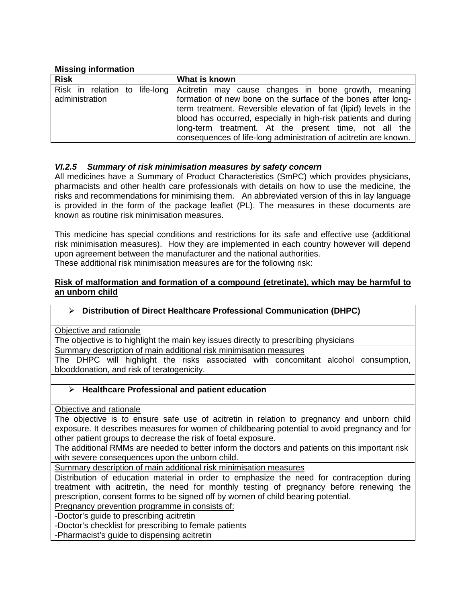## **Missing information**

| <b>Risk</b>    | What is known                                                                                                                                                                                                                                                                                                                                       |
|----------------|-----------------------------------------------------------------------------------------------------------------------------------------------------------------------------------------------------------------------------------------------------------------------------------------------------------------------------------------------------|
| administration | Risk in relation to life-long Acitretin may cause changes in bone growth, meaning<br>formation of new bone on the surface of the bones after long-<br>term treatment. Reversible elevation of fat (lipid) levels in the<br>blood has occurred, especially in high-risk patients and during<br>long-term treatment. At the present time, not all the |
|                | consequences of life-long administration of acitretin are known.                                                                                                                                                                                                                                                                                    |

## *VI.2.5 Summary of risk minimisation measures by safety concern*

All medicines have a Summary of Product Characteristics (SmPC) which provides physicians, pharmacists and other health care professionals with details on how to use the medicine, the risks and recommendations for minimising them. An abbreviated version of this in lay language is provided in the form of the package leaflet (PL). The measures in these documents are known as routine risk minimisation measures.

This medicine has special conditions and restrictions for its safe and effective use (additional risk minimisation measures). How they are implemented in each country however will depend upon agreement between the manufacturer and the national authorities.

These additional risk minimisation measures are for the following risk:

### **Risk of malformation and formation of a compound (etretinate), which may be harmful to an unborn child**

#### **Distribution of Direct Healthcare Professional Communication (DHPC)**

Objective and rationale

The objective is to highlight the main key issues directly to prescribing physicians

Summary description of main additional risk minimisation measures

The DHPC will highlight the risks associated with concomitant alcohol consumption, blooddonation, and risk of teratogenicity.

## **Healthcare Professional and patient education**

Objective and rationale

The objective is to ensure safe use of acitretin in relation to pregnancy and unborn child exposure. It describes measures for women of childbearing potential to avoid pregnancy and for other patient groups to decrease the risk of foetal exposure.

The additional RMMs are needed to better inform the doctors and patients on this important risk with severe consequences upon the unborn child.

Summary description of main additional risk minimisation measures

Distribution of education material in order to emphasize the need for contraception during treatment with acitretin, the need for monthly testing of pregnancy before renewing the prescription, consent forms to be signed off by women of child bearing potential.

Pregnancy prevention programme in consists of:

-Doctor's guide to prescribing acitretin

-Doctor's checklist for prescribing to female patients

-Pharmacist's guide to dispensing acitretin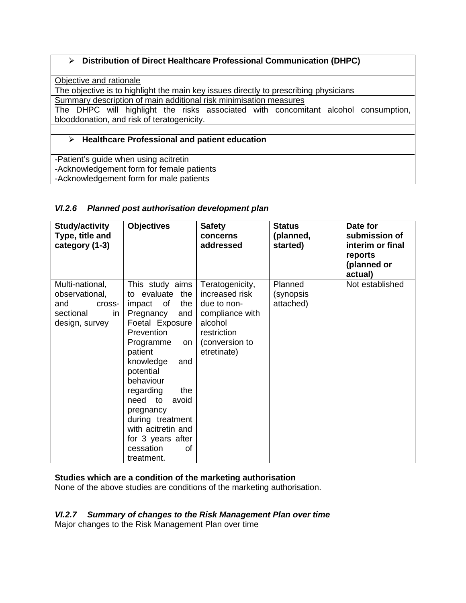# **Distribution of Direct Healthcare Professional Communication (DHPC)**

Objective and rationale

The objective is to highlight the main key issues directly to prescribing physicians

Summary description of main additional risk minimisation measures

The DHPC will highlight the risks associated with concomitant alcohol consumption, blooddonation, and risk of teratogenicity.

# **Healthcare Professional and patient education**

-Patient's guide when using acitretin -Acknowledgement form for female patients -Acknowledgement form for male patients

# *VI.2.6 Planned post authorisation development plan*

| <b>Study/activity</b><br>Type, title and<br>category (1-3)                              | <b>Objectives</b>                                                                                                                                                                                                                                                                                                                                    | <b>Safety</b><br>concerns<br>addressed                                                                                         | <b>Status</b><br>(planned,<br>started) | Date for<br>submission of<br>interim or final<br>reports<br>(planned or<br>actual) |
|-----------------------------------------------------------------------------------------|------------------------------------------------------------------------------------------------------------------------------------------------------------------------------------------------------------------------------------------------------------------------------------------------------------------------------------------------------|--------------------------------------------------------------------------------------------------------------------------------|----------------------------------------|------------------------------------------------------------------------------------|
| Multi-national,<br>observational,<br>and<br>cross-<br>sectional<br>in<br>design, survey | This study aims<br>to evaluate the<br>impact of<br>the<br>Pregnancy<br>and<br>Foetal Exposure<br><b>Prevention</b><br>Programme<br>on.<br>patient<br>knowledge<br>and<br>potential<br>behaviour<br>regarding<br>the<br>need to<br>avoid<br>pregnancy<br>during treatment<br>with acitretin and<br>for 3 years after<br>cessation<br>οf<br>treatment. | Teratogenicity,<br>increased risk<br>due to non-<br>compliance with<br>alcohol<br>restriction<br>(conversion to<br>etretinate) | Planned<br>(synopsis<br>attached)      | Not established                                                                    |

# **Studies which are a condition of the marketing authorisation**

None of the above studies are conditions of the marketing authorisation.

# *VI.2.7 Summary of changes to the Risk Management Plan over time*

Major changes to the Risk Management Plan over time